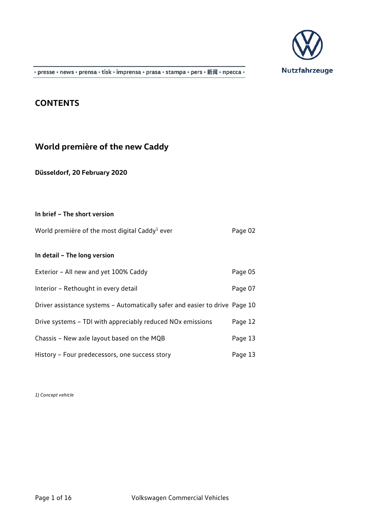

· presse · news · prensa · tisk · imprensa · prasa · stampa · pers · 新闻 · npecca ·

## **CONTENTS**

# **World première of the new Caddy**

**Düsseldorf, 20 February 2020**

| In brief - The short version                                                |         |
|-----------------------------------------------------------------------------|---------|
| World première of the most digital Caddy <sup>1</sup> ever                  | Page 02 |
| In detail - The long version                                                |         |
| Exterior - All new and yet 100% Caddy                                       | Page 05 |
| Interior - Rethought in every detail                                        | Page 07 |
| Driver assistance systems - Automatically safer and easier to drive Page 10 |         |
| Drive systems - TDI with appreciably reduced NO <sub>x</sub> emissions      | Page 12 |
| Chassis - New axle layout based on the MQB                                  | Page 13 |
| History - Four predecessors, one success story                              | Page 13 |

*1) Concept vehicle*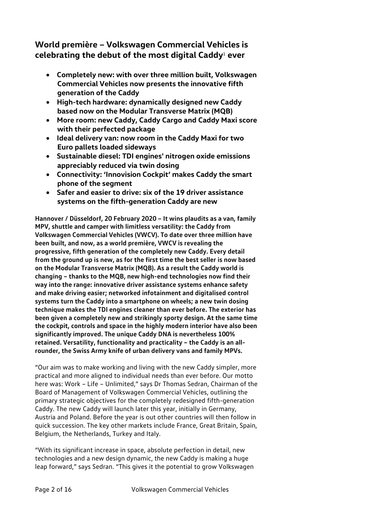## **World première – Volkswagen Commercial Vehicles is celebrating the debut of the most digital Caddy**<sup>1</sup> **ever**

- **Completely new: with over three million built, Volkswagen Commercial Vehicles now presents the innovative fifth generation of the Caddy**
- **High-tech hardware: dynamically designed new Caddy based now on the Modular Transverse Matrix (MQB)**
- **More room: new Caddy, Caddy Cargo and Caddy Maxi score with their perfected package**
- **Ideal delivery van: now room in the Caddy Maxi for two Euro pallets loaded sideways**
- **Sustainable diesel: TDI engines' nitrogen oxide emissions appreciably reduced via twin dosing**
- **Connectivity: 'Innovision Cockpit' makes Caddy the smart phone of the segment**
- **Safer and easier to drive: six of the 19 driver assistance systems on the fifth-generation Caddy are new**

**Hannover / Düsseldorf, 20 February 2020 – It wins plaudits as a van, family MPV, shuttle and camper with limitless versatility: the Caddy from Volkswagen Commercial Vehicles (VWCV). To date over three million have been built, and now, as a world première, VWCV is revealing the progressive, fifth generation of the completely new Caddy. Every detail from the ground up is new, as for the first time the best seller is now based on the Modular Transverse Matrix (MQB). As a result the Caddy world is changing – thanks to the MQB, new high-end technologies now find their way into the range: innovative driver assistance systems enhance safety and make driving easier; networked infotainment and digitalised control systems turn the Caddy into a smartphone on wheels; a new twin dosing technique makes the TDI engines cleaner than ever before. The exterior has been given a completely new and strikingly sporty design. At the same time the cockpit, controls and space in the highly modern interior have also been significantly improved. The unique Caddy DNA is nevertheless 100% retained. Versatility, functionality and practicality – the Caddy is an allrounder, the Swiss Army knife of urban delivery vans and family MPVs.**

"Our aim was to make working and living with the new Caddy simpler, more practical and more aligned to individual needs than ever before. Our motto here was: Work – Life – Unlimited," says Dr Thomas Sedran, Chairman of the Board of Management of Volkswagen Commercial Vehicles, outlining the primary strategic objectives for the completely redesigned fifth-generation Caddy. The new Caddy will launch later this year, initially in Germany, Austria and Poland. Before the year is out other countries will then follow in quick succession. The key other markets include France, Great Britain, Spain, Belgium, the Netherlands, Turkey and Italy.

"With its significant increase in space, absolute perfection in detail, new technologies and a new design dynamic, the new Caddy is making a huge leap forward," says Sedran. "This gives it the potential to grow Volkswagen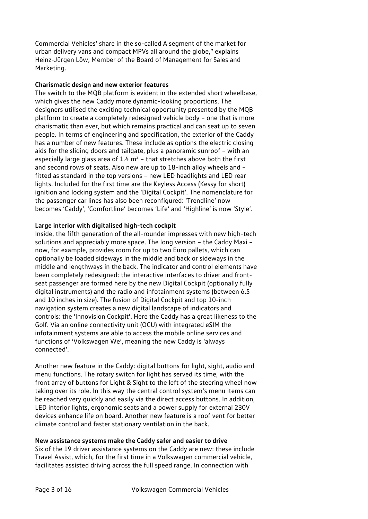Commercial Vehicles' share in the so-called A segment of the market for urban delivery vans and compact MPVs all around the globe," explains Heinz-Jürgen Löw, Member of the Board of Management for Sales and Marketing.

#### **Charismatic design and new exterior features**

The switch to the MQB platform is evident in the extended short wheelbase, which gives the new Caddy more dynamic-looking proportions. The designers utilised the exciting technical opportunity presented by the MQB platform to create a completely redesigned vehicle body – one that is more charismatic than ever, but which remains practical and can seat up to seven people. In terms of engineering and specification, the exterior of the Caddy has a number of new features. These include as options the electric closing aids for the sliding doors and tailgate, plus a panoramic sunroof – with an especially large glass area of  $1.4$  m<sup>2</sup> – that stretches above both the first and second rows of seats. Also new are up to 18-inch alloy wheels and – fitted as standard in the top versions – new LED headlights and LED rear lights. Included for the first time are the Keyless Access (Kessy for short) ignition and locking system and the 'Digital Cockpit'. The nomenclature for the passenger car lines has also been reconfigured: 'Trendline' now becomes 'Caddy', 'Comfortline' becomes 'Life' and 'Highline' is now 'Style'.

#### **Large interior with digitalised high-tech cockpit**

Inside, the fifth generation of the all-rounder impresses with new high-tech solutions and appreciably more space. The long version – the Caddy Maxi – now, for example, provides room for up to two Euro pallets, which can optionally be loaded sideways in the middle and back or sideways in the middle and lengthways in the back. The indicator and control elements have been completely redesigned: the interactive interfaces to driver and frontseat passenger are formed here by the new Digital Cockpit (optionally fully digital instruments) and the radio and infotainment systems (between 6.5 and 10 inches in size). The fusion of Digital Cockpit and top 10-inch navigation system creates a new digital landscape of indicators and controls: the 'Innovision Cockpit'. Here the Caddy has a great likeness to the Golf. Via an online connectivity unit (OCU) with integrated eSIM the infotainment systems are able to access the mobile online services and functions of 'Volkswagen We', meaning the new Caddy is 'always connected'.

Another new feature in the Caddy: digital buttons for light, sight, audio and menu functions. The rotary switch for light has served its time, with the front array of buttons for Light & Sight to the left of the steering wheel now taking over its role. In this way the central control system's menu items can be reached very quickly and easily via the direct access buttons. In addition, LED interior lights, ergonomic seats and a power supply for external 230V devices enhance life on board. Another new feature is a roof vent for better climate control and faster stationary ventilation in the back.

## **New assistance systems make the Caddy safer and easier to drive**

Six of the 19 driver assistance systems on the Caddy are new: these include Travel Assist, which, for the first time in a Volkswagen commercial vehicle, facilitates assisted driving across the full speed range. In connection with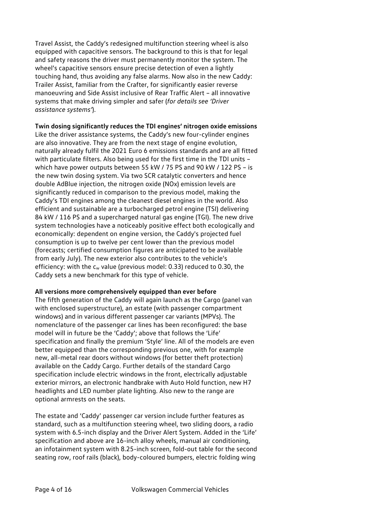Travel Assist, the Caddy's redesigned multifunction steering wheel is also equipped with capacitive sensors. The background to this is that for legal and safety reasons the driver must permanently monitor the system. The wheel's capacitive sensors ensure precise detection of even a lightly touching hand, thus avoiding any false alarms. Now also in the new Caddy: Trailer Assist, familiar from the Crafter, for significantly easier reverse manoeuvring and Side Assist inclusive of Rear Traffic Alert – all innovative systems that make driving simpler and safer (*for details see 'Driver assistance systems'*).

#### **Twin dosing significantly reduces the TDI engines' nitrogen oxide emissions**

Like the driver assistance systems, the Caddy's new four-cylinder engines are also innovative. They are from the next stage of engine evolution, naturally already fulfil the 2021 Euro 6 emissions standards and are all fitted with particulate filters. Also being used for the first time in the TDI units – which have power outputs between 55 kW / 75 PS and 90 kW / 122 PS – is the new twin dosing system. Via two SCR catalytic converters and hence double AdBlue injection, the nitrogen oxide (NOx) emission levels are significantly reduced in comparison to the previous model, making the Caddy's TDI engines among the cleanest diesel engines in the world. Also efficient and sustainable are a turbocharged petrol engine (TSI) delivering 84 kW / 116 PS and a supercharged natural gas engine (TGI). The new drive system technologies have a noticeably positive effect both ecologically and economically: dependent on engine version, the Caddy's projected fuel consumption is up to twelve per cent lower than the previous model (forecasts; certified consumption figures are anticipated to be available from early July). The new exterior also contributes to the vehicle's efficiency: with the  $c_w$  value (previous model: 0.33) reduced to 0.30, the Caddy sets a new benchmark for this type of vehicle.

#### **All versions more comprehensively equipped than ever before**

The fifth generation of the Caddy will again launch as the Cargo (panel van with enclosed superstructure), an estate (with passenger compartment windows) and in various different passenger car variants (MPVs). The nomenclature of the passenger car lines has been reconfigured: the base model will in future be the 'Caddy'; above that follows the 'Life' specification and finally the premium 'Style' line. All of the models are even better equipped than the corresponding previous one, with for example new, all-metal rear doors without windows (for better theft protection) available on the Caddy Cargo. Further details of the standard Cargo specification include electric windows in the front, electrically adjustable exterior mirrors, an electronic handbrake with Auto Hold function, new H7 headlights and LED number plate lighting. Also new to the range are optional armrests on the seats.

The estate and 'Caddy' passenger car version include further features as standard, such as a multifunction steering wheel, two sliding doors, a radio system with 6.5-inch display and the Driver Alert System. Added in the 'Life' specification and above are 16-inch alloy wheels, manual air conditioning, an infotainment system with 8.25-inch screen, fold-out table for the second seating row, roof rails (black), body-coloured bumpers, electric folding wing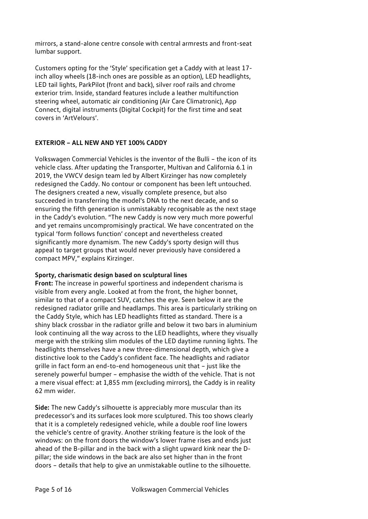mirrors, a stand-alone centre console with central armrests and front-seat lumbar support.

Customers opting for the 'Style' specification get a Caddy with at least 17 inch alloy wheels (18-inch ones are possible as an option), LED headlights, LED tail lights, ParkPilot (front and back), silver roof rails and chrome exterior trim. Inside, standard features include a leather multifunction steering wheel, automatic air conditioning (Air Care Climatronic), App Connect, digital instruments (Digital Cockpit) for the first time and seat covers in 'ArtVelours'.

#### **EXTERIOR – ALL NEW AND YET 100% CADDY**

Volkswagen Commercial Vehicles is the inventor of the Bulli – the icon of its vehicle class. After updating the Transporter, Multivan and California 6.1 in 2019, the VWCV design team led by Albert Kirzinger has now completely redesigned the Caddy. No contour or component has been left untouched. The designers created a new, visually complete presence, but also succeeded in transferring the model's DNA to the next decade, and so ensuring the fifth generation is unmistakably recognisable as the next stage in the Caddy's evolution. "The new Caddy is now very much more powerful and yet remains uncompromisingly practical. We have concentrated on the typical 'form follows function' concept and nevertheless created significantly more dynamism. The new Caddy's sporty design will thus appeal to target groups that would never previously have considered a compact MPV," explains Kirzinger.

#### **Sporty, charismatic design based on sculptural lines**

**Front:** The increase in powerful sportiness and independent charisma is visible from every angle. Looked at from the front, the higher bonnet, similar to that of a compact SUV, catches the eye. Seen below it are the redesigned radiator grille and headlamps. This area is particularly striking on the Caddy Style, which has LED headlights fitted as standard. There is a shiny black crossbar in the radiator grille and below it two bars in aluminium look continuing all the way across to the LED headlights, where they visually merge with the striking slim modules of the LED daytime running lights. The headlights themselves have a new three-dimensional depth, which give a distinctive look to the Caddy's confident face. The headlights and radiator grille in fact form an end-to-end homogeneous unit that – just like the serenely powerful bumper – emphasise the width of the vehicle. That is not a mere visual effect: at 1,855 mm (excluding mirrors), the Caddy is in reality 62 mm wider.

**Side:** The new Caddy's silhouette is appreciably more muscular than its predecessor's and its surfaces look more sculptured. This too shows clearly that it is a completely redesigned vehicle, while a double roof line lowers the vehicle's centre of gravity. Another striking feature is the look of the windows: on the front doors the window's lower frame rises and ends just ahead of the B-pillar and in the back with a slight upward kink near the Dpillar; the side windows in the back are also set higher than in the front doors – details that help to give an unmistakable outline to the silhouette.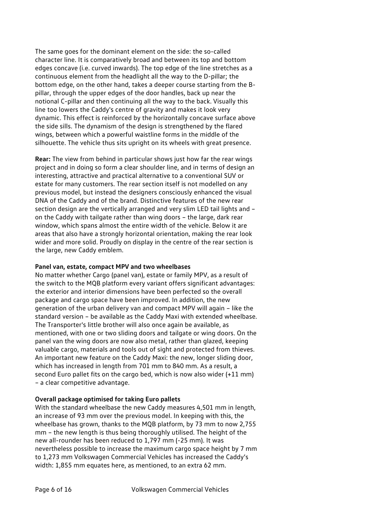The same goes for the dominant element on the side: the so-called character line. It is comparatively broad and between its top and bottom edges concave (i.e. curved inwards). The top edge of the line stretches as a continuous element from the headlight all the way to the D-pillar; the bottom edge, on the other hand, takes a deeper course starting from the Bpillar, through the upper edges of the door handles, back up near the notional C-pillar and then continuing all the way to the back. Visually this line too lowers the Caddy's centre of gravity and makes it look very dynamic. This effect is reinforced by the horizontally concave surface above the side sills. The dynamism of the design is strengthened by the flared wings, between which a powerful waistline forms in the middle of the silhouette. The vehicle thus sits upright on its wheels with great presence.

**Rear:** The view from behind in particular shows just how far the rear wings project and in doing so form a clear shoulder line, and in terms of design an interesting, attractive and practical alternative to a conventional SUV or estate for many customers. The rear section itself is not modelled on any previous model, but instead the designers consciously enhanced the visual DNA of the Caddy and of the brand. Distinctive features of the new rear section design are the vertically arranged and very slim LED tail lights and – on the Caddy with tailgate rather than wing doors – the large, dark rear window, which spans almost the entire width of the vehicle. Below it are areas that also have a strongly horizontal orientation, making the rear look wider and more solid. Proudly on display in the centre of the rear section is the large, new Caddy emblem.

## **Panel van, estate, compact MPV and two wheelbases**

No matter whether Cargo (panel van), estate or family MPV, as a result of the switch to the MQB platform every variant offers significant advantages: the exterior and interior dimensions have been perfected so the overall package and cargo space have been improved. In addition, the new generation of the urban delivery van and compact MPV will again – like the standard version – be available as the Caddy Maxi with extended wheelbase. The Transporter's little brother will also once again be available, as mentioned, with one or two sliding doors and tailgate or wing doors. On the panel van the wing doors are now also metal, rather than glazed, keeping valuable cargo, materials and tools out of sight and protected from thieves. An important new feature on the Caddy Maxi: the new, longer sliding door, which has increased in length from 701 mm to 840 mm. As a result, a second Euro pallet fits on the cargo bed, which is now also wider (+11 mm) – a clear competitive advantage.

## **Overall package optimised for taking Euro pallets**

With the standard wheelbase the new Caddy measures 4,501 mm in length, an increase of 93 mm over the previous model. In keeping with this, the wheelbase has grown, thanks to the MQB platform, by 73 mm to now 2,755 mm – the new length is thus being thoroughly utilised. The height of the new all-rounder has been reduced to 1,797 mm (-25 mm). It was nevertheless possible to increase the maximum cargo space height by 7 mm to 1,273 mm Volkswagen Commercial Vehicles has increased the Caddy's width: 1,855 mm equates here, as mentioned, to an extra 62 mm.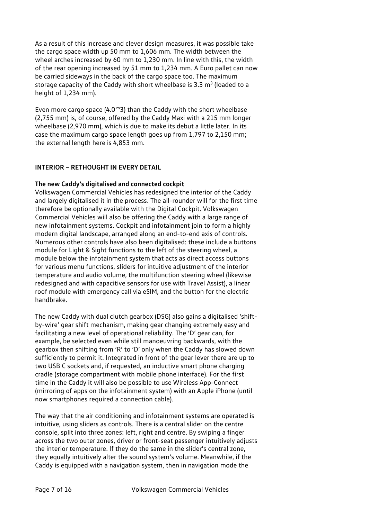As a result of this increase and clever design measures, it was possible take the cargo space width up 50 mm to 1,606 mm. The width between the wheel arches increased by 60 mm to 1,230 mm. In line with this, the width of the rear opening increased by 51 mm to 1,234 mm. A Euro pallet can now be carried sideways in the back of the cargo space too. The maximum storage capacity of the Caddy with short wheelbase is 3.3  $m<sup>3</sup>$  (loaded to a height of 1,234 mm).

Even more cargo space  $(4.0<sup>m</sup>3)$  than the Caddy with the short wheelbase (2,755 mm) is, of course, offered by the Caddy Maxi with a 215 mm longer wheelbase (2,970 mm), which is due to make its debut a little later. In its case the maximum cargo space length goes up from 1,797 to 2,150 mm; the external length here is 4,853 mm.

## **INTERIOR – RETHOUGHT IN EVERY DETAIL**

## **The new Caddy's digitalised and connected cockpit**

Volkswagen Commercial Vehicles has redesigned the interior of the Caddy and largely digitalised it in the process. The all-rounder will for the first time therefore be optionally available with the Digital Cockpit. Volkswagen Commercial Vehicles will also be offering the Caddy with a large range of new infotainment systems. Cockpit and infotainment join to form a highly modern digital landscape, arranged along an end-to-end axis of controls. Numerous other controls have also been digitalised: these include a buttons module for Light & Sight functions to the left of the steering wheel, a module below the infotainment system that acts as direct access buttons for various menu functions, sliders for intuitive adjustment of the interior temperature and audio volume, the multifunction steering wheel (likewise redesigned and with capacitive sensors for use with Travel Assist), a linear roof module with emergency call via eSIM, and the button for the electric handbrake.

The new Caddy with dual clutch gearbox (DSG) also gains a digitalised 'shiftby-wire' gear shift mechanism, making gear changing extremely easy and facilitating a new level of operational reliability. The 'D' gear can, for example, be selected even while still manoeuvring backwards, with the gearbox then shifting from 'R' to 'D' only when the Caddy has slowed down sufficiently to permit it. Integrated in front of the gear lever there are up to two USB C sockets and, if requested, an inductive smart phone charging cradle (storage compartment with mobile phone interface). For the first time in the Caddy it will also be possible to use Wireless App-Connect (mirroring of apps on the infotainment system) with an Apple iPhone (until now smartphones required a connection cable).

The way that the air conditioning and infotainment systems are operated is intuitive, using sliders as controls. There is a central slider on the centre console, split into three zones: left, right and centre. By swiping a finger across the two outer zones, driver or front-seat passenger intuitively adjusts the interior temperature. If they do the same in the slider's central zone, they equally intuitively alter the sound system's volume. Meanwhile, if the Caddy is equipped with a navigation system, then in navigation mode the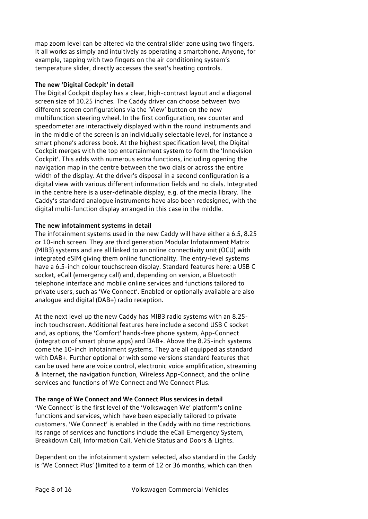map zoom level can be altered via the central slider zone using two fingers. It all works as simply and intuitively as operating a smartphone. Anyone, for example, tapping with two fingers on the air conditioning system's temperature slider, directly accesses the seat's heating controls.

## **The new 'Digital Cockpit' in detail**

The Digital Cockpit display has a clear, high-contrast layout and a diagonal screen size of 10.25 inches. The Caddy driver can choose between two different screen configurations via the 'View' button on the new multifunction steering wheel. In the first configuration, rev counter and speedometer are interactively displayed within the round instruments and in the middle of the screen is an individually selectable level, for instance a smart phone's address book. At the highest specification level, the Digital Cockpit merges with the top entertainment system to form the 'Innovision Cockpit'. This adds with numerous extra functions, including opening the navigation map in the centre between the two dials or across the entire width of the display. At the driver's disposal in a second configuration is a digital view with various different information fields and no dials. Integrated in the centre here is a user-definable display, e.g. of the media library. The Caddy's standard analogue instruments have also been redesigned, with the digital multi-function display arranged in this case in the middle.

#### **The new infotainment systems in detail**

The infotainment systems used in the new Caddy will have either a 6.5, 8.25 or 10-inch screen. They are third generation Modular Infotainment Matrix (MIB3) systems and are all linked to an online connectivity unit (OCU) with integrated eSIM giving them online functionality. The entry-level systems have a 6.5-inch colour touchscreen display. Standard features here: a USB C socket, eCall (emergency call) and, depending on version, a Bluetooth telephone interface and mobile online services and functions tailored to private users, such as 'We Connect'. Enabled or optionally available are also analogue and digital (DAB+) radio reception.

At the next level up the new Caddy has MIB3 radio systems with an 8.25 inch touchscreen. Additional features here include a second USB C socket and, as options, the 'Comfort' hands-free phone system, App-Connect (integration of smart phone apps) and DAB+. Above the 8.25-inch systems come the 10-inch infotainment systems. They are all equipped as standard with DAB+. Further optional or with some versions standard features that can be used here are voice control, electronic voice amplification, streaming & Internet, the navigation function, Wireless App-Connect, and the online services and functions of We Connect and We Connect Plus.

## **The range of We Connect and We Connect Plus services in detail**

'We Connect' is the first level of the 'Volkswagen We' platform's online functions and services, which have been especially tailored to private customers. 'We Connect' is enabled in the Caddy with no time restrictions. Its range of services and functions include the eCall Emergency System, Breakdown Call, Information Call, Vehicle Status and Doors & Lights.

Dependent on the infotainment system selected, also standard in the Caddy is 'We Connect Plus' (limited to a term of 12 or 36 months, which can then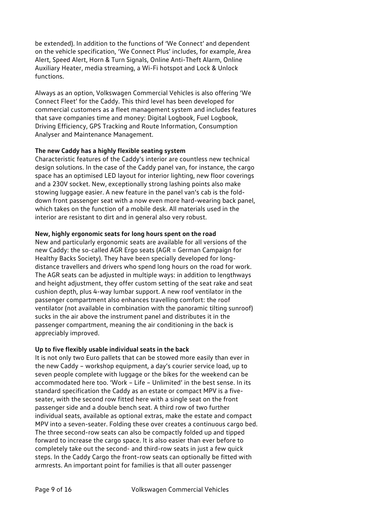be extended). In addition to the functions of 'We Connect' and dependent on the vehicle specification, 'We Connect Plus' includes, for example, Area Alert, Speed Alert, Horn & Turn Signals, Online Anti-Theft Alarm, Online Auxiliary Heater, media streaming, a Wi-Fi hotspot and Lock & Unlock functions.

Always as an option, Volkswagen Commercial Vehicles is also offering 'We Connect Fleet' for the Caddy. This third level has been developed for commercial customers as a fleet management system and includes features that save companies time and money: Digital Logbook, Fuel Logbook, Driving Efficiency, GPS Tracking and Route Information, Consumption Analyser and Maintenance Management.

## **The new Caddy has a highly flexible seating system**

Characteristic features of the Caddy's interior are countless new technical design solutions. In the case of the Caddy panel van, for instance, the cargo space has an optimised LED layout for interior lighting, new floor coverings and a 230V socket. New, exceptionally strong lashing points also make stowing luggage easier. A new feature in the panel van's cab is the folddown front passenger seat with a now even more hard-wearing back panel, which takes on the function of a mobile desk. All materials used in the interior are resistant to dirt and in general also very robust.

## **New, highly ergonomic seats for long hours spent on the road**

New and particularly ergonomic seats are available for all versions of the new Caddy: the so-called AGR Ergo seats (AGR = German Campaign for Healthy Backs Society). They have been specially developed for longdistance travellers and drivers who spend long hours on the road for work. The AGR seats can be adjusted in multiple ways: in addition to lengthways and height adjustment, they offer custom setting of the seat rake and seat cushion depth, plus 4-way lumbar support. A new roof ventilator in the passenger compartment also enhances travelling comfort: the roof ventilator (not available in combination with the panoramic tilting sunroof) sucks in the air above the instrument panel and distributes it in the passenger compartment, meaning the air conditioning in the back is appreciably improved.

## **Up to five flexibly usable individual seats in the back**

It is not only two Euro pallets that can be stowed more easily than ever in the new Caddy – workshop equipment, a day's courier service load, up to seven people complete with luggage or the bikes for the weekend can be accommodated here too. 'Work – Life – Unlimited' in the best sense. In its standard specification the Caddy as an estate or compact MPV is a fiveseater, with the second row fitted here with a single seat on the front passenger side and a double bench seat. A third row of two further individual seats, available as optional extras, make the estate and compact MPV into a seven-seater. Folding these over creates a continuous cargo bed. The three second-row seats can also be compactly folded up and tipped forward to increase the cargo space. It is also easier than ever before to completely take out the second- and third-row seats in just a few quick steps. In the Caddy Cargo the front-row seats can optionally be fitted with armrests. An important point for families is that all outer passenger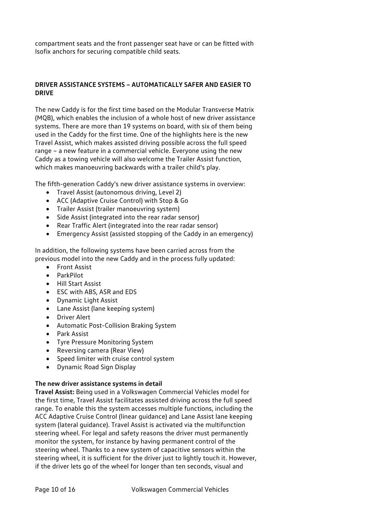compartment seats and the front passenger seat have or can be fitted with Isofix anchors for securing compatible child seats.

## **DRIVER ASSISTANCE SYSTEMS – AUTOMATICALLY SAFER AND EASIER TO DRIVE**

The new Caddy is for the first time based on the Modular Transverse Matrix (MQB), which enables the inclusion of a whole host of new driver assistance systems. There are more than 19 systems on board, with six of them being used in the Caddy for the first time. One of the highlights here is the new Travel Assist, which makes assisted driving possible across the full speed range – a new feature in a commercial vehicle. Everyone using the new Caddy as a towing vehicle will also welcome the Trailer Assist function, which makes manoeuvring backwards with a trailer child's play.

The fifth-generation Caddy's new driver assistance systems in overview:

- Travel Assist (autonomous driving, Level 2)
- ACC (Adaptive Cruise Control) with Stop & Go
- Trailer Assist (trailer manoeuvring system)
- Side Assist (integrated into the rear radar sensor)
- Rear Traffic Alert (integrated into the rear radar sensor)
- Emergency Assist (assisted stopping of the Caddy in an emergency)

In addition, the following systems have been carried across from the previous model into the new Caddy and in the process fully updated:

- Front Assist
- ParkPilot
- Hill Start Assist
- ESC with ABS, ASR and EDS
- Dynamic Light Assist
- Lane Assist (lane keeping system)
- Driver Alert
- Automatic Post-Collision Braking System
- Park Assist
- Tyre Pressure Monitoring System
- Reversing camera (Rear View)
- Speed limiter with cruise control system
- Dynamic Road Sign Display

#### **The new driver assistance systems in detail**

**Travel Assist:** Being used in a Volkswagen Commercial Vehicles model for the first time, Travel Assist facilitates assisted driving across the full speed range. To enable this the system accesses multiple functions, including the ACC Adaptive Cruise Control (linear guidance) and Lane Assist lane keeping system (lateral guidance). Travel Assist is activated via the multifunction steering wheel. For legal and safety reasons the driver must permanently monitor the system, for instance by having permanent control of the steering wheel. Thanks to a new system of capacitive sensors within the steering wheel, it is sufficient for the driver just to lightly touch it. However, if the driver lets go of the wheel for longer than ten seconds, visual and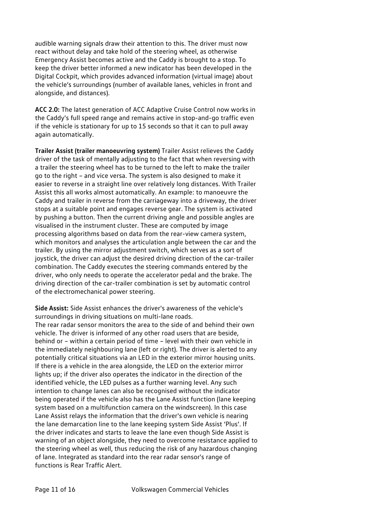audible warning signals draw their attention to this. The driver must now react without delay and take hold of the steering wheel, as otherwise Emergency Assist becomes active and the Caddy is brought to a stop. To keep the driver better informed a new indicator has been developed in the Digital Cockpit, which provides advanced information (virtual image) about the vehicle's surroundings (number of available lanes, vehicles in front and alongside, and distances).

**ACC 2.0:** The latest generation of ACC Adaptive Cruise Control now works in the Caddy's full speed range and remains active in stop-and-go traffic even if the vehicle is stationary for up to 15 seconds so that it can to pull away again automatically.

**Trailer Assist (trailer manoeuvring system)** Trailer Assist relieves the Caddy driver of the task of mentally adjusting to the fact that when reversing with a trailer the steering wheel has to be turned to the left to make the trailer go to the right – and vice versa. The system is also designed to make it easier to reverse in a straight line over relatively long distances. With Trailer Assist this all works almost automatically. An example: to manoeuvre the Caddy and trailer in reverse from the carriageway into a driveway, the driver stops at a suitable point and engages reverse gear. The system is activated by pushing a button. Then the current driving angle and possible angles are visualised in the instrument cluster. These are computed by image processing algorithms based on data from the rear-view camera system, which monitors and analyses the articulation angle between the car and the trailer. By using the mirror adjustment switch, which serves as a sort of joystick, the driver can adjust the desired driving direction of the car-trailer combination. The Caddy executes the steering commands entered by the driver, who only needs to operate the accelerator pedal and the brake. The driving direction of the car-trailer combination is set by automatic control of the electromechanical power steering.

**Side Assist:** Side Assist enhances the driver's awareness of the vehicle's surroundings in driving situations on multi-lane roads. The rear radar sensor monitors the area to the side of and behind their own vehicle. The driver is informed of any other road users that are beside, behind or – within a certain period of time – level with their own vehicle in the immediately neighbouring lane (left or right). The driver is alerted to any potentially critical situations via an LED in the exterior mirror housing units. If there is a vehicle in the area alongside, the LED on the exterior mirror lights up; if the driver also operates the indicator in the direction of the identified vehicle, the LED pulses as a further warning level. Any such intention to change lanes can also be recognised without the indicator being operated if the vehicle also has the Lane Assist function (lane keeping system based on a multifunction camera on the windscreen). In this case Lane Assist relays the information that the driver's own vehicle is nearing the lane demarcation line to the lane keeping system Side Assist 'Plus'. If the driver indicates and starts to leave the lane even though Side Assist is warning of an object alongside, they need to overcome resistance applied to the steering wheel as well, thus reducing the risk of any hazardous changing of lane. Integrated as standard into the rear radar sensor's range of functions is Rear Traffic Alert.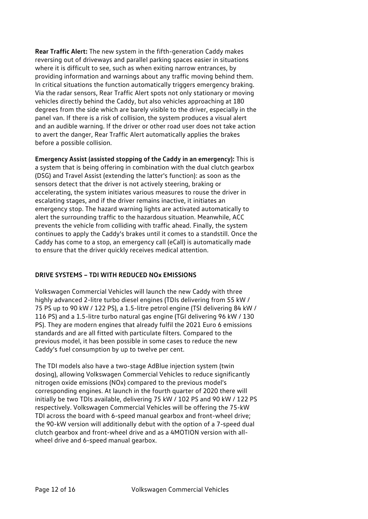**Rear Traffic Alert:** The new system in the fifth-generation Caddy makes reversing out of driveways and parallel parking spaces easier in situations where it is difficult to see, such as when exiting narrow entrances, by providing information and warnings about any traffic moving behind them. In critical situations the function automatically triggers emergency braking. Via the radar sensors, Rear Traffic Alert spots not only stationary or moving vehicles directly behind the Caddy, but also vehicles approaching at 180 degrees from the side which are barely visible to the driver, especially in the panel van. If there is a risk of collision, the system produces a visual alert and an audible warning. If the driver or other road user does not take action to avert the danger, Rear Traffic Alert automatically applies the brakes before a possible collision.

**Emergency Assist (assisted stopping of the Caddy in an emergency):** This is a system that is being offering in combination with the dual clutch gearbox (DSG) and Travel Assist (extending the latter's function): as soon as the sensors detect that the driver is not actively steering, braking or accelerating, the system initiates various measures to rouse the driver in escalating stages, and if the driver remains inactive, it initiates an emergency stop. The hazard warning lights are activated automatically to alert the surrounding traffic to the hazardous situation. Meanwhile, ACC prevents the vehicle from colliding with traffic ahead. Finally, the system continues to apply the Caddy's brakes until it comes to a standstill. Once the Caddy has come to a stop, an emergency call (eCall) is automatically made to ensure that the driver quickly receives medical attention.

## **DRIVE SYSTEMS – TDI WITH REDUCED NOx EMISSIONS**

Volkswagen Commercial Vehicles will launch the new Caddy with three highly advanced 2-litre turbo diesel engines (TDIs delivering from 55 kW / 75 PS up to 90 kW / 122 PS), a 1.5-litre petrol engine (TSI delivering 84 kW / 116 PS) and a 1.5-litre turbo natural gas engine (TGI delivering 96 kW / 130 PS). They are modern engines that already fulfil the 2021 Euro 6 emissions standards and are all fitted with particulate filters. Compared to the previous model, it has been possible in some cases to reduce the new Caddy's fuel consumption by up to twelve per cent.

The TDI models also have a two-stage AdBlue injection system (twin dosing), allowing Volkswagen Commercial Vehicles to reduce significantly nitrogen oxide emissions (NOx) compared to the previous model's corresponding engines. At launch in the fourth quarter of 2020 there will initially be two TDIs available, delivering 75 kW / 102 PS and 90 kW / 122 PS respectively. Volkswagen Commercial Vehicles will be offering the 75-kW TDI across the board with 6-speed manual gearbox and front-wheel drive; the 90-kW version will additionally debut with the option of a 7-speed dual clutch gearbox and front-wheel drive and as a 4MOTION version with allwheel drive and 6-speed manual gearbox.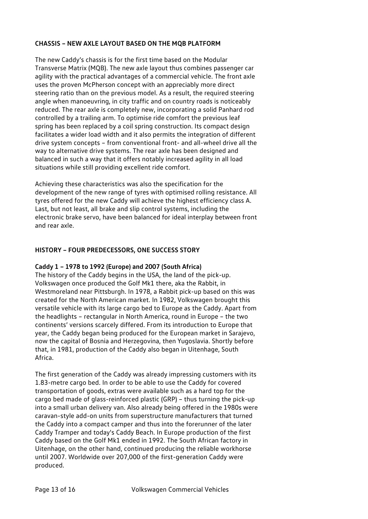## **CHASSIS – NEW AXLE LAYOUT BASED ON THE MQB PLATFORM**

The new Caddy's chassis is for the first time based on the Modular Transverse Matrix (MQB). The new axle layout thus combines passenger car agility with the practical advantages of a commercial vehicle. The front axle uses the proven McPherson concept with an appreciably more direct steering ratio than on the previous model. As a result, the required steering angle when manoeuvring, in city traffic and on country roads is noticeably reduced. The rear axle is completely new, incorporating a solid Panhard rod controlled by a trailing arm. To optimise ride comfort the previous leaf spring has been replaced by a coil spring construction. Its compact design facilitates a wider load width and it also permits the integration of different drive system concepts – from conventional front- and all-wheel drive all the way to alternative drive systems. The rear axle has been designed and balanced in such a way that it offers notably increased agility in all load situations while still providing excellent ride comfort.

Achieving these characteristics was also the specification for the development of the new range of tyres with optimised rolling resistance. All tyres offered for the new Caddy will achieve the highest efficiency class A. Last, but not least, all brake and slip control systems, including the electronic brake servo, have been balanced for ideal interplay between front and rear axle.

## **HISTORY – FOUR PREDECESSORS, ONE SUCCESS STORY**

#### **Caddy 1 – 1978 to 1992 (Europe) and 2007 (South Africa)**

The history of the Caddy begins in the USA, the land of the pick-up. Volkswagen once produced the Golf Mk1 there, aka the Rabbit, in Westmoreland near Pittsburgh. In 1978, a Rabbit pick-up based on this was created for the North American market. In 1982, Volkswagen brought this versatile vehicle with its large cargo bed to Europe as the Caddy. Apart from the headlights – rectangular in North America, round in Europe – the two continents' versions scarcely differed. From its introduction to Europe that year, the Caddy began being produced for the European market in Sarajevo, now the capital of Bosnia and Herzegovina, then Yugoslavia. Shortly before that, in 1981, production of the Caddy also began in Uitenhage, South Africa.

The first generation of the Caddy was already impressing customers with its 1.83-metre cargo bed. In order to be able to use the Caddy for covered transportation of goods, extras were available such as a hard top for the cargo bed made of glass-reinforced plastic (GRP) – thus turning the pick-up into a small urban delivery van. Also already being offered in the 1980s were caravan-style add-on units from superstructure manufacturers that turned the Caddy into a compact camper and thus into the forerunner of the later Caddy Tramper and today's Caddy Beach. In Europe production of the first Caddy based on the Golf Mk1 ended in 1992. The South African factory in Uitenhage, on the other hand, continued producing the reliable workhorse until 2007. Worldwide over 207,000 of the first-generation Caddy were produced.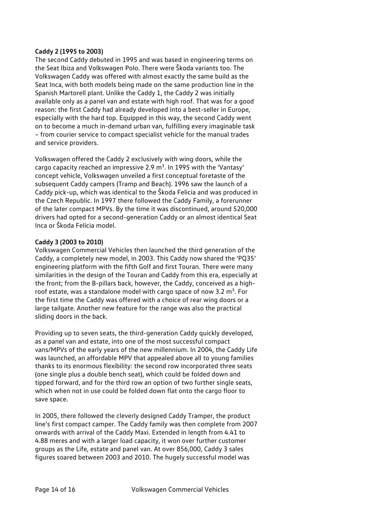#### **Caddy 2 (1995 to 2003)**

The second Caddy debuted in 1995 and was based in engineering terms on the Seat Ibiza and Volkswagen Polo. There were Škoda variants too. The Volkswagen Caddy was offered with almost exactly the same build as the Seat Inca, with both models being made on the same production line in the Spanish Martorell plant. Unlike the Caddy 1, the Caddy 2 was initially available only as a panel van and estate with high roof. That was for a good reason: the first Caddy had already developed into a best-seller in Europe, especially with the hard top. Equipped in this way, the second Caddy went on to become a much in-demand urban van, fulfilling every imaginable task – from courier service to compact specialist vehicle for the manual trades and service providers.

Volkswagen offered the Caddy 2 exclusively with wing doors, while the cargo capacity reached an impressive 2.9  $m^3$ . In 1995 with the 'Vantasy' concept vehicle, Volkswagen unveiled a first conceptual foretaste of the subsequent Caddy campers (Tramp and Beach). 1996 saw the launch of a Caddy pick-up, which was identical to the Škoda Felicia and was produced in the Czech Republic. In 1997 there followed the Caddy Family, a forerunner of the later compact MPVs. By the time it was discontinued, around 520,000 drivers had opted for a second-generation Caddy or an almost identical Seat Inca or Škoda Felicia model.

## **Caddy 3 (2003 to 2010)**

Volkswagen Commercial Vehicles then launched the third generation of the Caddy, a completely new model, in 2003. This Caddy now shared the 'PQ35' engineering platform with the fifth Golf and first Touran. There were many similarities in the design of the Touran and Caddy from this era, especially at the front; from the B-pillars back, however, the Caddy, conceived as a highroof estate, was a standalone model with cargo space of now 3.2  $m<sup>3</sup>$ . For the first time the Caddy was offered with a choice of rear wing doors or a large tailgate. Another new feature for the range was also the practical sliding doors in the back.

Providing up to seven seats, the third-generation Caddy quickly developed, as a panel van and estate, into one of the most successful compact vans/MPVs of the early years of the new millennium. In 2004, the Caddy Life was launched, an affordable MPV that appealed above all to young families thanks to its enormous flexibility: the second row incorporated three seats (one single plus a double bench seat), which could be folded down and tipped forward, and for the third row an option of two further single seats, which when not in use could be folded down flat onto the cargo floor to save space.

In 2005, there followed the cleverly designed Caddy Tramper, the product line's first compact camper. The Caddy family was then complete from 2007 onwards with arrival of the Caddy Maxi. Extended in length from 4.41 to 4.88 meres and with a larger load capacity, it won over further customer groups as the Life, estate and panel van. At over 856,000, Caddy 3 sales figures soared between 2003 and 2010. The hugely successful model was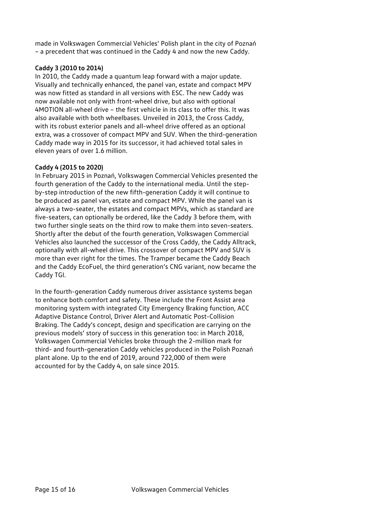made in Volkswagen Commercial Vehicles' Polish plant in the city of Poznań – a precedent that was continued in the Caddy 4 and now the new Caddy.

## **Caddy 3 (2010 to 2014)**

In 2010, the Caddy made a quantum leap forward with a major update. Visually and technically enhanced, the panel van, estate and compact MPV was now fitted as standard in all versions with ESC. The new Caddy was now available not only with front-wheel drive, but also with optional 4MOTION all-wheel drive – the first vehicle in its class to offer this. It was also available with both wheelbases. Unveiled in 2013, the Cross Caddy, with its robust exterior panels and all-wheel drive offered as an optional extra, was a crossover of compact MPV and SUV. When the third-generation Caddy made way in 2015 for its successor, it had achieved total sales in eleven years of over 1.6 million.

#### **Caddy 4 (2015 to 2020)**

In February 2015 in Poznań, Volkswagen Commercial Vehicles presented the fourth generation of the Caddy to the international media. Until the stepby-step introduction of the new fifth-generation Caddy it will continue to be produced as panel van, estate and compact MPV. While the panel van is always a two-seater, the estates and compact MPVs, which as standard are five-seaters, can optionally be ordered, like the Caddy 3 before them, with two further single seats on the third row to make them into seven-seaters. Shortly after the debut of the fourth generation, Volkswagen Commercial Vehicles also launched the successor of the Cross Caddy, the Caddy Alltrack, optionally with all-wheel drive. This crossover of compact MPV and SUV is more than ever right for the times. The Tramper became the Caddy Beach and the Caddy EcoFuel, the third generation's CNG variant, now became the Caddy TGI.

In the fourth-generation Caddy numerous driver assistance systems began to enhance both comfort and safety. These include the Front Assist area monitoring system with integrated City Emergency Braking function, ACC Adaptive Distance Control, Driver Alert and Automatic Post-Collision Braking. The Caddy's concept, design and specification are carrying on the previous models' story of success in this generation too: in March 2018, Volkswagen Commercial Vehicles broke through the 2-million mark for third- and fourth-generation Caddy vehicles produced in the Polish Poznań plant alone. Up to the end of 2019, around 722,000 of them were accounted for by the Caddy 4, on sale since 2015.